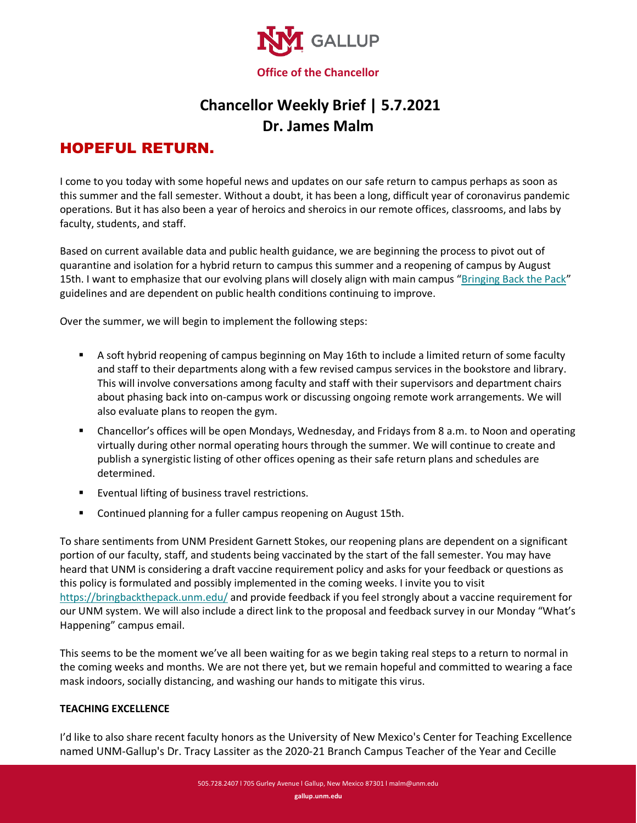

# **Chancellor Weekly Brief | 5.7.2021 Dr. James Malm**

## HOPEFUL RETURN.

I come to you today with some hopeful news and updates on our safe return to campus perhaps as soon as this summer and the fall semester. Without a doubt, it has been a long, difficult year of coronavirus pandemic operations. But it has also been a year of heroics and sheroics in our remote offices, classrooms, and labs by faculty, students, and staff.

Based on current available data and public health guidance, we are beginning the process to pivot out of quarantine and isolation for a hybrid return to campus this summer and a reopening of campus by August 15th. I want to emphasize that our evolving plans will closely align with main campus ["Bringing Back the Pack"](http://news.unm.edu/news/unm-plans-campus-return) guidelines and are dependent on public health conditions continuing to improve.

Over the summer, we will begin to implement the following steps:

- A soft hybrid reopening of campus beginning on May 16th to include a limited return of some faculty and staff to their departments along with a few revised campus services in the bookstore and library. This will involve conversations among faculty and staff with their supervisors and department chairs about phasing back into on-campus work or discussing ongoing remote work arrangements. We will also evaluate plans to reopen the gym.
- Chancellor's offices will be open Mondays, Wednesday, and Fridays from 8 a.m. to Noon and operating virtually during other normal operating hours through the summer. We will continue to create and publish a synergistic listing of other offices opening as their safe return plans and schedules are determined.
- **Exentual lifting of business travel restrictions.**
- **E** Continued planning for a fuller campus reopening on August 15th.

To share sentiments from UNM President Garnett Stokes, our reopening plans are dependent on a significant portion of our faculty, staff, and students being vaccinated by the start of the fall semester. You may have heard that UNM is considering a draft vaccine requirement policy and asks for your feedback or questions as this policy is formulated and possibly implemented in the coming weeks. I invite you to visit <https://bringbackthepack.unm.edu/> and provide feedback if you feel strongly about a vaccine requirement for our UNM system. We will also include a direct link to the proposal and feedback survey in our Monday "What's Happening" campus email.

This seems to be the moment we've all been waiting for as we begin taking real steps to a return to normal in the coming weeks and months. We are not there yet, but we remain hopeful and committed to wearing a face mask indoors, socially distancing, and washing our hands to mitigate this virus.

#### **TEACHING EXCELLENCE**

I'd like to also share recent faculty honors as the University of New Mexico's Center for Teaching Excellence named UNM-Gallup's Dr. Tracy Lassiter as the 2020-21 Branch Campus Teacher of the Year and Cecille